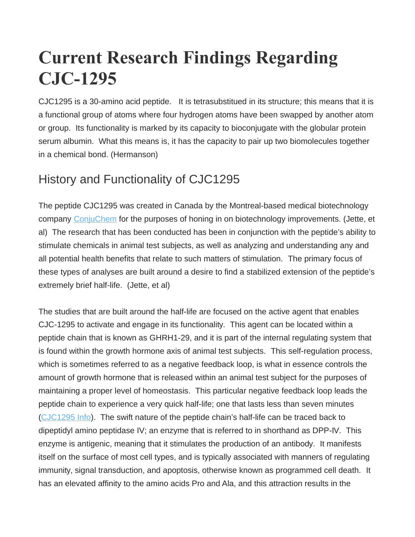# **Current Research Findings Regarding CJC-1295**

CJC1295 is a 30-amino acid peptide. It is tetrasubstitued in its structure; this means that it is a functional group of atoms where four hydrogen atoms have been swapped by another atom or group. Its functionality is marked by its capacity to bioconjugate with the globular protein serum albumin. What this means is, it has the capacity to pair up two biomolecules together in a chemical bond. (Hermanson)

## History and Functionality of CJC1295

The peptide CJC1295 was created in Canada by the Montreal-based medical biotechnology company [ConjuChem](http://www.conjuchem.com/) for the purposes of honing in on biotechnology improvements. (Jette, et al) The research that has been conducted has been in conjunction with the peptide's ability to stimulate chemicals in animal test subjects, as well as analyzing and understanding any and all potential health benefits that relate to such matters of stimulation. The primary focus of these types of analyses are built around a desire to find a stabilized extension of the peptide's extremely brief half-life. (Jette, et al)

The studies that are built around the half-life are focused on the active agent that enables CJC-1295 to activate and engage in its functionality. This agent can be located within a peptide chain that is known as GHRH1-29, and it is part of the internal regulating system that is found within the growth hormone axis of animal test subjects. This self-regulation process, which is sometimes referred to as a negative feedback loop, is what in essence controls the amount of growth hormone that is released within an animal test subject for the purposes of maintaining a proper level of homeostasis. This particular negative feedback loop leads the peptide chain to experience a very quick half-life; one that lasts less than seven minutes [\(CJC1295 Info\)](http://neobiolab.com/peptide-services). The swift nature of the peptide chain's half-life can be traced back to dipeptidyl amino peptidase IV; an enzyme that is referred to in shorthand as DPP-IV. This enzyme is antigenic, meaning that it stimulates the production of an antibody. It manifests itself on the surface of most cell types, and is typically associated with manners of regulating immunity, signal transduction, and apoptosis, otherwise known as programmed cell death. It has an elevated affinity to the amino acids Pro and Ala, and this attraction results in the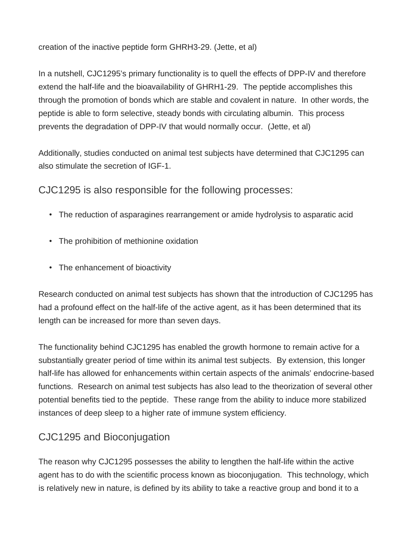creation of the inactive peptide form GHRH3-29. (Jette, et al)

In a nutshell, CJC1295's primary functionality is to quell the effects of DPP-IV and therefore extend the half-life and the bioavailability of GHRH1-29. The peptide accomplishes this through the promotion of bonds which are stable and covalent in nature. In other words, the peptide is able to form selective, steady bonds with circulating albumin. This process prevents the degradation of DPP-IV that would normally occur. (Jette, et al)

Additionally, studies conducted on animal test subjects have determined that CJC1295 can also stimulate the secretion of IGF-1.

CJC1295 is also responsible for the following processes:

- The reduction of asparagines rearrangement or amide hydrolysis to asparatic acid
- The prohibition of methionine oxidation
- The enhancement of bioactivity

Research conducted on animal test subjects has shown that the introduction of CJC1295 has had a profound effect on the half-life of the active agent, as it has been determined that its length can be increased for more than seven days.

The functionality behind CJC1295 has enabled the growth hormone to remain active for a substantially greater period of time within its animal test subjects. By extension, this longer half-life has allowed for enhancements within certain aspects of the animals' endocrine-based functions. Research on animal test subjects has also lead to the theorization of several other potential benefits tied to the peptide. These range from the ability to induce more stabilized instances of deep sleep to a higher rate of immune system efficiency.

## CJC1295 and Bioconjugation

The reason why CJC1295 possesses the ability to lengthen the half-life within the active agent has to do with the scientific process known as bioconjugation. This technology, which is relatively new in nature, is defined by its ability to take a reactive group and bond it to a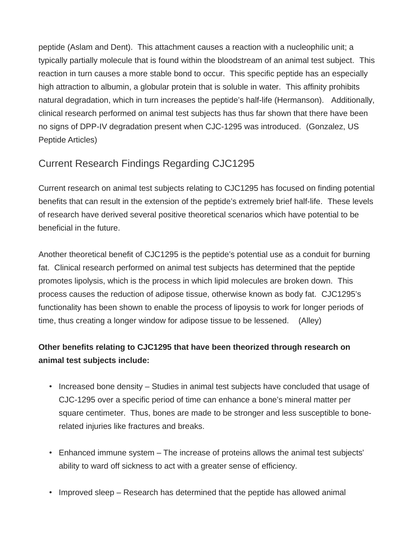peptide (Aslam and Dent). This attachment causes a reaction with a nucleophilic unit; a typically partially molecule that is found within the bloodstream of an animal test subject. This reaction in turn causes a more stable bond to occur. This specific peptide has an especially high attraction to albumin, a globular protein that is soluble in water. This affinity prohibits natural degradation, which in turn increases the peptide's half-life (Hermanson). Additionally, clinical research performed on animal test subjects has thus far shown that there have been no signs of DPP-IV degradation present when CJC-1295 was introduced. (Gonzalez, US Peptide Articles)

## Current Research Findings Regarding CJC1295

Current research on animal test subjects relating to CJC1295 has focused on finding potential benefits that can result in the extension of the peptide's extremely brief half-life. These levels of research have derived several positive theoretical scenarios which have potential to be beneficial in the future.

Another theoretical benefit of CJC1295 is the peptide's potential use as a conduit for burning fat. Clinical research performed on animal test subjects has determined that the peptide promotes lipolysis, which is the process in which lipid molecules are broken down. This process causes the reduction of adipose tissue, otherwise known as body fat. CJC1295's functionality has been shown to enable the process of lipoysis to work for longer periods of time, thus creating a longer window for adipose tissue to be lessened. (Alley)

#### **Other benefits relating to CJC1295 that have been theorized through research on animal test subjects include:**

- Increased bone density Studies in animal test subjects have concluded that usage of CJC-1295 over a specific period of time can enhance a bone's mineral matter per square centimeter. Thus, bones are made to be stronger and less susceptible to bonerelated injuries like fractures and breaks.
- Enhanced immune system The increase of proteins allows the animal test subjects' ability to ward off sickness to act with a greater sense of efficiency.
- Improved sleep Research has determined that the peptide has allowed animal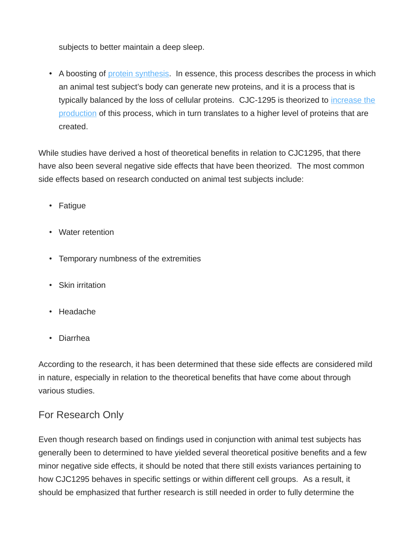subjects to better maintain a deep sleep.

• A boosting of [protein synthesis.](http://antibodylab.com/) In essence, this process describes the process in which an animal test subject's body can generate new proteins, and it is a process that is typically balanced by the loss of cellular proteins. CJC-1295 is theorized to [increase the](http://neobiolab.com/catalog-proteins) [production](http://neobiolab.com/catalog-proteins) of this process, which in turn translates to a higher level of proteins that are created.

While studies have derived a host of theoretical benefits in relation to CJC1295, that there have also been several negative side effects that have been theorized. The most common side effects based on research conducted on animal test subjects include:

- Fatigue
- Water retention
- Temporary numbness of the extremities
- Skin irritation
- Headache
- Diarrhea

According to the research, it has been determined that these side effects are considered mild in nature, especially in relation to the theoretical benefits that have come about through various studies.

### For Research Only

Even though research based on findings used in conjunction with animal test subjects has generally been to determined to have yielded several theoretical positive benefits and a few minor negative side effects, it should be noted that there still exists variances pertaining to how CJC1295 behaves in specific settings or within different cell groups. As a result, it should be emphasized that further research is still needed in order to fully determine the